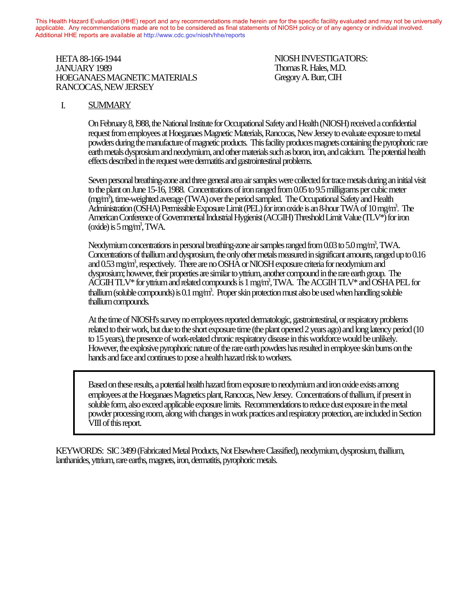This Health Hazard Evaluation (HHE) report and any recommendations made herein are for the specific facility evaluated and may not be universally applicable. Any recommendations made are not to be considered as final statements of NIOSH policy or of any agency or individual involved. Additional HHE reports are available at http://www.cdc.gov/niosh/hhe/reports Additional HHE reports are available at [http://www.cdc.gov/niosh/hhe/reports](http://www.cdc.gov/niosh/hhe)

HETA 88-166-1944 NIOSH INVESTIGATORS: JANUARY 1989 Thomas R. Hales, M.D. AN GAN 1969<br>HOEGANAES MAGNETIC MATERIALS Gregory A. Burr, CIH RANCOCAS, NEW JERSEY  $A \cup A \cup A$  and  $A \cup B$  and  $A \cup B$  reports are available at  $h$ 

## I. SUMMARY

On February 8, l988, the National Institute for Occupational Safety and Health (NIOSH) received a confidential request from employees at Hoeganaes Magnetic Materials, Rancocas, New Jersey to evaluate exposure to metal powders during the manufacture of magnetic products. This facility produces magnets containing the pyrophoric rare earth metals dysprosium and neodymium, and other materials such as boron, iron, and calcium. The potential health effects described in the request were dermatitis and gastrointestinal problems.

Seven personal breathing-zone and three general area air samples were collected for trace metals during an initial visit to the plant on June 15-16, 1988. Concentrations of iron ranged from 0.05 to 9.5 milligrams per cubic meter (mg/m3 ), time-weighted average (TWA) over the period sampled. The Occupational Safety and Health Administration (OSHA) Permissible Exposure Limit (PEL) for iron oxide is an 8-hour TWA of 10 mg/m3 . The American Conference of Governmental Industrial Hygienist (ACGIH) Threshold Limit Value (TLV\*) for iron (oxide) is  $5$  mg/m<sup>3</sup>, TWA.

Neodymium concentrations in personal breathing-zone air samples ranged from  $0.03$  to  $5.0$  mg/m<sup>3</sup>, TWA. Concentrations of thallium and dysprosium, the only other metals measured in significant amounts, ranged up to 0.16 and 0.53 mg/m3 , respectively. There are no OSHA or NIOSH exposure criteria for neodymium and dysprosium; however, their properties are similar to yttrium, another compound in the rare earth group. The  $\rm \AA \overline{CGIH}$  TLV\* for yttrium and related compounds is 1 mg/m<sup>3</sup>, TWA. The  $\rm \AA \overline{CGIH}$  TLV\* and OSHA PEL for thallium (soluble compounds) is 0.1 mg/m<sup>3</sup>. Proper skin protection must also be used when handling soluble thallium compounds.

At the time of NIOSH's survey no employees reported dermatologic, gastrointestinal, or respiratory problems related to their work, but due to the short exposure time (the plant opened 2 years ago) and long latency period (10 to 15 years), the presence of work-related chronic respiratory disease in this workforce would be unlikely. However, the explosive pyrophoric nature of the rare earth powders has resulted in employee skin burns on the hands and face and continues to pose a health hazard risk to workers.

Based on these results, a potential health hazard from exposure to neodymium and iron oxide exists among employees at the Hoeganaes Magnetics plant, Rancocas, New Jersey. Concentrations of thallium, if present in soluble form, also exceed applicable exposure limits. Recommendations to reduce dust exposure in the metal powder processing room, along with changes in work practices and respiratory protection, are included in Section VIII of this report.

KEYWORDS: SIC 3499 (Fabricated Metal Products, Not Elsewhere Classified), neodymium, dysprosium, thallium, lanthanides, yttrium, rare earths, magnets, iron, dermatitis, pyrophoric metals.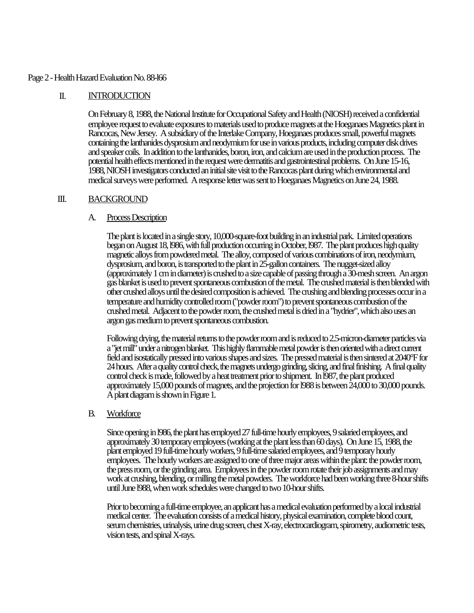### Page 2 - Health Hazard Evaluation No. 88-l66

## II. INTRODUCTION

On February 8, 1988, the National Institute for Occupational Safety and Health (NIOSH) received a confidential employee request to evaluate exposures to materials used to produce magnets at the Hoeganaes Magnetics plant in Rancocas, New Jersey. A subsidiary of the Interlake Company, Hoeganaes produces small, powerful magnets containing the lanthanides dysprosium and neodymium for use in various products, including computer disk drives and speaker coils. In addition to the lanthanides, boron, iron, and calcium are used in the production process. The potential health effects mentioned in the request were dermatitis and gastrointestinal problems. On June 15-16, 1988, NIOSH investigators conducted an initial site visit to the Rancocas plant during which environmental and medical surveys were performed. A response letter was sent to Hoeganaes Magnetics on June 24, 1988.

## III. BACKGROUND

# A. Process Description

The plant is located in a single story, 10,000-square-foot building in an industrial park. Limited operations began on August 18, l986, with full production occurring in October, l987. The plant produces high quality magnetic alloys from powdered metal. The alloy, composed of various combinations of iron, neodymium, dysprosium, and boron, is transported to the plant in 25-gallon containers. The nugget-sized alloy (approximately 1 cm in diameter) is crushed to a size capable of passing through a 30-mesh screen. An argon gas blanket is used to prevent spontaneous combustion of the metal. The crushed material is then blended with other crushed alloys until the desired composition is achieved. The crushing and blending processes occur in a temperature and humidity controlled room ("powder room") to prevent spontaneous combustion of the crushed metal. Adjacent to the powder room, the crushed metal is dried in a "hydrier", which also uses an argon gas medium to prevent spontaneous combustion.

Following drying, the material returns to the powder room and is reduced to 2.5-micron-diameter particles via a "jet mill" under a nitrogen blanket. This highly flammable metal powder is then oriented with a direct current field and isostatically pressed into various shapes and sizes. The pressed material is then sintered at 2040°F for 24 hours. After a quality control check, the magnets undergo grinding, slicing, and final finishing. A final quality control check is made, followed by a heat treatment prior to shipment. In l987, the plant produced approximately 15,000 pounds of magnets, and the projection for l988 is between 24,000 to 30,000 pounds. A plant diagram is shown in Figure 1.

## B. Workforce

Since opening in l986, the plant has employed 27 full-time hourly employees, 9 salaried employees, and approximately 30 temporary employees (working at the plant less than 60 days). On June 15, 1988, the plant employed 19 full-time hourly workers, 9 full-time salaried employees, and 9 temporary hourly employees. The hourly workers are assigned to one of three major areas within the plant: the powder room, the press room, or the grinding area. Employees in the powder room rotate their job assignments and may work at crushing, blending, or milling the metal powders. The workforce had been working three 8-hour shifts until June l988, when work schedules were changed to two 10-hour shifts.

Prior to becoming a full-time employee, an applicant has a medical evaluation performed by a local industrial medical center. The evaluation consists of a medical history, physical examination, complete blood count, serum chemistries, urinalysis, urine drug screen, chest X-ray, electrocardiogram, spirometry, audiometric tests, vision tests, and spinal X-rays.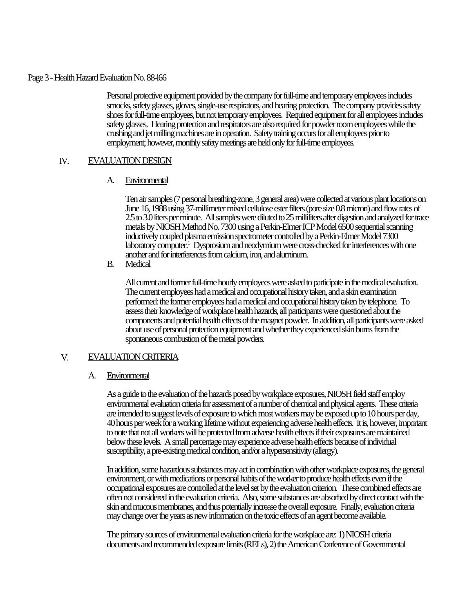### Page 3 - Health Hazard Evaluation No. 88-l66

Personal protective equipment provided by the company for full-time and temporary employees includes smocks, safety glasses, gloves, single-use respirators, and hearing protection. The company provides safety shoes for full-time employees, but not temporary employees. Required equipment for all employees includes safety glasses. Hearing protection and respirators are also required for powder room employees while the crushing and jet milling machines are in operation. Safety training occurs for all employees prior to employment; however, monthly safety meetings are held only for full-time employees.

# IV. EVALUATION DESIGN

# A. Environmental

Ten air samples (7 personal breathing-zone, 3 general area) were collected at various plant locations on June 16, 1988 using 37-millimeter mixed cellulose ester filters (pore size 0.8 micron) and flow rates of 2.5 to 3.0 liters per minute. All samples were diluted to 25 milliliters after digestion and analyzed for trace metals by NIOSH Method No. 7300 using a Perkin-Elmer ICP Model 6500 sequential scanning inductively coupled plasma emission spectrometer controlled by a Perkin-Elmer Model 7300 laboratory computer.<sup>1</sup> Dysprosium and neodymium were cross-checked for interferences with one another and for interferences from calcium, iron, and aluminum.

B. Medical

All current and former full-time hourly employees were asked to participate in the medical evaluation. The current employees had a medical and occupational history taken, and a skin examination performed: the former employees had a medical and occupational history taken by telephone. To assess their knowledge of workplace health hazards, all participants were questioned about the components and potential health effects of the magnet powder. In addition, all participants were asked about use of personal protection equipment and whether they experienced skin burns from the spontaneous combustion of the metal powders.

## V. EVALUATION CRITERIA

# A. Environmental

As a guide to the evaluation of the hazards posed by workplace exposures, NIOSH field staff employ environmental evaluation criteria for assessment of a number of chemical and physical agents. These criteria are intended to suggest levels of exposure to which most workers may be exposed up to 10 hours per day, 40 hours per week for a working lifetime without experiencing adverse health effects. It is, however, important to note that not all workers will be protected from adverse health effects if their exposures are maintained below these levels. A small percentage may experience adverse health effects because of individual susceptibility, a pre-existing medical condition, and/or a hypersensitivity (allergy).

In addition, some hazardous substances may act in combination with other workplace exposures, the general environment, or with medications or personal habits of the worker to produce health effects even if the occupational exposures are controlled at the level set by the evaluation criterion. These combined effects are often not considered in the evaluation criteria. Also, some substances are absorbed by direct contact with the skin and mucous membranes, and thus potentially increase the overall exposure. Finally, evaluation criteria may change over the years as new information on the toxic effects of an agent become available.

The primary sources of environmental evaluation criteria for the workplace are: 1) NIOSH criteria documents and recommended exposure limits (RELs), 2) the American Conference of Governmental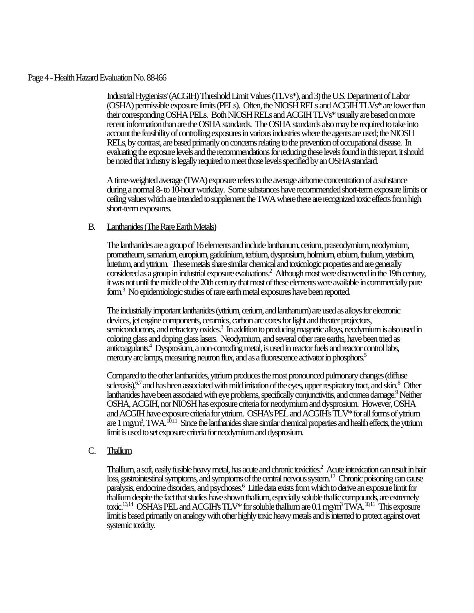#### Page 4 - Health Hazard Evaluation No. 88-l66

Industrial Hygienists' (ACGIH) Threshold Limit Values (TLVs\*), and 3) the U.S. Department of Labor (OSHA) permissible exposure limits (PELs). Often, the NIOSH RELs and ACGIH TLVs\* are lower than their corresponding OSHA PELs. Both NIOSH RELs and ACGIH TLVs\* usually are based on more recent information than are the OSHA standards. The OSHA standards also may be required to take into account the feasibility of controlling exposures in various industries where the agents are used; the NIOSH RELs, by contrast, are based primarily on concerns relating to the prevention of occupational disease. In evaluating the exposure levels and the recommendations for reducing these levels found in this report, it should be noted that industry is legally required to meet those levels specified by an OSHA standard.

A time-weighted average (TWA) exposure refers to the average airborne concentration of a substance during a normal 8- to 10-hour workday. Some substances have recommended short-term exposure limits or ceiling values which are intended to supplement the TWA where there are recognized toxic effects from high short-term exposures.

# B. Lanthanides (The Rare Earth Metals)

The lanthanides are a group of 16 elements and include lanthanum, cerium, praseodymium, neodymium, prometheum, samarium, europium, gadolinium, terbium, dysprosium, holmium, erbium, thulium, ytterbium, lutetium, and yttrium. These metals share similar chemical and toxicologic properties and are generally considered as a group in industrial exposure evaluations.<sup>2</sup> Although most were discovered in the 19th century, it was not until the middle of the 20th century that most of these elements were available in commercially pure form.<sup>3</sup> No epidemiologic studies of rare earth metal exposures have been reported.

The industrially important lanthanides (yttrium, cerium, and lanthanum) are used as alloys for electronic devices, jet engine components, ceramics, carbon arc cores for light and theater projectors, semiconductors, and refractory oxides.<sup>3</sup> In addition to producing magnetic alloys, neodymium is also used in coloring glass and doping glass lasers. Neodymium, and several other rare earths, have been tried as anticoagulants.<sup>4</sup> Dysprosium, a non-corroding metal, is used in reactor fuels and reactor control labs, mercury arc lamps, measuring neutron flux, and as a fluorescence activator in phosphors.<sup>5</sup>

Compared to the other lanthanides, yttrium produces the most pronounced pulmonary changes (diffuse sclerosis), <sup>6,7</sup> and has been associated with mild irritation of the eyes, upper respiratory tract, and skin. <sup>8</sup> Other lanthanides have been associated with eye problems, specifically conjunctivitis, and comea damage.<sup>9</sup> Neither OSHA, ACGIH, nor NIOSH has exposure criteria for neodymium and dysprosium. However, OSHA and ACGIH have exposure criteria for yttrium. OSHA's PEL and ACGIH's TLV\* for all forms of yttrium are 1 mg/m<sup>3</sup>, TWA.  $^{10,11}$  Since the lanthanides share similar chemical properties and health effects, the yttrium limit is used to set exposure criteria for neodymium and dysprosium.

## C. Thallium

Thallium, a soft, easily fusible heavy metal, has acute and chronic toxicities. $^2\,$  Acute intoxication can result in hair loss, gastrointestinal symptoms, and symptoms of the central nervous system.<sup>12</sup> Chronic poisoning can cause paralysis, endocrine disorders, and psychoses.<sup>6</sup> Little data exists from which to derive an exposure limit for thallium despite the fact that studies have shown thallium, especially soluble thallic compounds, are extremely toxic.<sup>13,14</sup> OSHA's PEL and ACGIH's TLV\* for soluble thallium are  $0.1$  mg/m<sup>3</sup> TWA.<sup>10,11</sup> This exposure limit is based primarily on analogy with other highly toxic heavy metals and is intented to protect against overt systemic toxicity.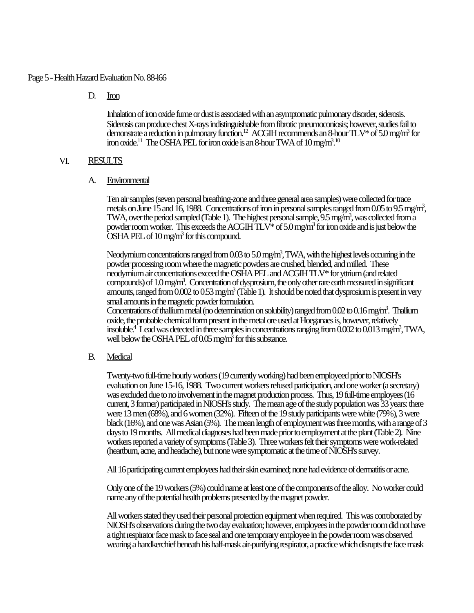### Page 5 - Health Hazard Evaluation No. 88-l66

D. Iron

Inhalation of iron oxide fume or dust is associated with an asymptomatic pulmonary disorder, siderosis. Siderosis can produce chest X-rays indistinguishable from fibrotic pneumoconiosis; however, studies fail to demonstrate a reduction in pulmonary function.<sup>12</sup> ACGIH recommends an 8-hour TLV\* of 5.0 mg/m<sup>3</sup> for iron oxide.<sup>11</sup> The OSHA PEL for iron oxide is an 8-hour TWA of  $10\,\rm{mg/m^3}$ .<sup>10</sup>

## VI. RESULTS

A. Environmental

Ten air samples (seven personal breathing-zone and three general area samples) were collected for trace metals on June 15 and 16, 1988. Concentrations of iron in personal samples ranged from 0.05 to 9.5 mg/m<sup>3</sup>, TWA, over the period sampled (Table 1). The highest personal sample, 9.5 mg/m<sup>3</sup>, was collected from a powder room worker. This exceeds the ACGIH  $TLV^*$  of 5.0 mg/m<sup>3</sup> for iron oxide and is just below the OSHA PEL of 10 mg/m<sup>3</sup> for this compound.

Neodymium concentrations ranged from 0.03 to 5.0 mg/m<sup>3</sup>, TWA, with the highest levels occurring in the powder processing room where the magnetic powders are crushed, blended, and milled. These neodymium air concentrations exceed the OSHA PEL and ACGIH TLV\* for yttrium (and related compounds) of 1.0 mg/m<sup>3</sup>. Concentration of dysprosium, the only other rare earth measured in significant amounts, ranged from 0.002 to 0.53 mg/m<sup>3</sup> (Table 1). It should be noted that dysprosium is present in very small amounts in the magnetic powder formulation.

Concentrations of thallium metal (no determination on solubility) ranged from 0.02 to 0.16 mg/m<sup>3</sup>. Thallium oxide, the probable chemical form present in the metal ore used at Hoeganaes is, however, relatively insoluble.<sup>4</sup> Lead was detected in three samples in concentrations ranging from 0.002 to 0.013 mg/m<sup>3</sup>, TWA, well below the OSHA PEL of 0.05 mg/m<sup>3</sup> for this substance.

B. Medical

Twenty-two full-time hourly workers (19 currently working) had been employeed prior to NIOSH's evaluation on June 15-16, 1988. Two current workers refused participation, and one worker (a secretary) was excluded due to no involvement in the magnet production process. Thus, 19 full-time employees (16 current, 3 former) participated in NIOSH's study. The mean age of the study population was 33 years: there were 13 men (68%), and 6 women (32%). Fifteen of the 19 study participants were white (79%), 3 were black (16%), and one was Asian (5%). The mean length of employment was three months, with a range of 3 days to 19 months. All medical diagnoses had been made prior to employment at the plant (Table 2). Nine workers reported a variety of symptoms (Table 3). Three workers felt their symptoms were work-related (heartburn, acne, and headache), but none were symptomatic at the time of NIOSH's survey.

All 16 participating current employees had their skin examined; none had evidence of dermatitis or acne.

Only one of the 19 workers (5%) could name at least one of the components of the alloy. No worker could name any of the potential health problems presented by the magnet powder.

All workers stated they used their personal protection equipment when required. This was corroborated by NIOSH's observations during the two day evaluation; however, employees in the powder room did not have a tight respirator face mask to face seal and one temporary employee in the powder room was observed wearing a handkerchief beneath his half-mask air-purifying respirator, a practice which disrupts the face mask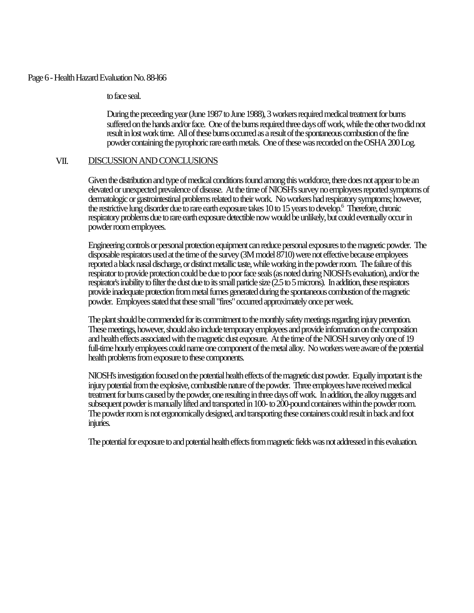### Page 6 - Health Hazard Evaluation No. 88-l66

to face seal.

During the preceeding year (June 1987 to June 1988), 3 workers required medical treatment for burns suffered on the hands and/or face. One of the burns required three days off work, while the other two did not result in lost work time. All of these burns occurred as a result of the spontaneous combustion of the fine powder containing the pyrophoric rare earth metals. One of these was recorded on the OSHA 200 Log.

## VII. DISCUSSION AND CONCLUSIONS

Given the distribution and type of medical conditions found among this workforce, there does not appear to be an elevated or unexpected prevalence of disease. At the time of NIOSH's survey no employees reported symptoms of dermatologic or gastrointestinal problems related to their work. No workers had respiratory symptoms; however, the restrictive lung disorder due to rare earth exposure takes 10 to 15 years to develop.<sup>6</sup> Therefore, chronic respiratory problems due to rare earth exposure detectible now would be unlikely, but could eventually occur in powder room employees.

Engineering controls or personal protection equipment can reduce personal exposures to the magnetic powder. The disposable respirators used at the time of the survey (3M model 8710) were not effective because employees reported a black nasal discharge, or distinct metallic taste, while working in the powder room. The failure of this respirator to provide protection could be due to poor face seals (as noted during NIOSH's evaluation), and/or the respirator's inability to filter the dust due to its small particle size (2.5 to 5 microns). In addition, these respirators provide inadequate protection from metal fumes generated during the spontaneous combustion of the magnetic powder. Employees stated that these small "fires" occurred approximately once per week.

The plant should be commended for its commitment to the monthly safety meetings regarding injury prevention. These meetings, however, should also include temporary employees and provide information on the composition and health effects associated with the magnetic dust exposure. At the time of the NIOSH survey only one of 19 full-time hourly employees could name one component of the metal alloy. No workers were aware of the potential health problems from exposure to these components.

NIOSH's investigation focused on the potential health effects of the magnetic dust powder. Equally important is the injury potential from the explosive, combustible nature of the powder. Three employees have received medical treatment for burns caused by the powder, one resulting in three days off work. In addition, the alloy nuggets and subsequent powder is manually lifted and transported in 100- to 200-pound containers within the powder room. The powder room is not ergonomically designed, and transporting these containers could result in back and foot injuries.

The potential for exposure to and potential health effects from magnetic fields was not addressed in this evaluation.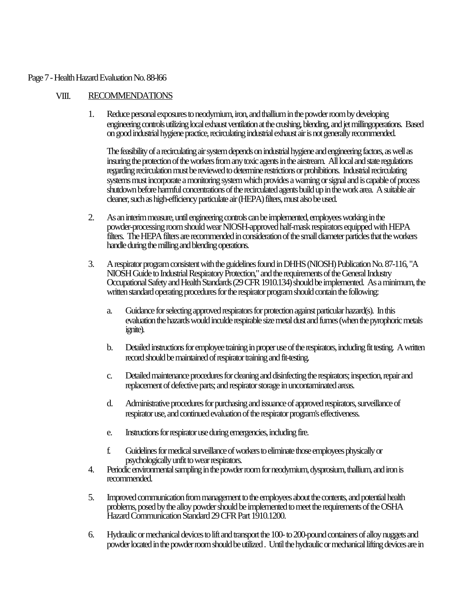## Page 7 - Health Hazard Evaluation No. 88-l66

# VIII. RECOMMENDATIONS

1. Reduce personal exposures to neodymium, iron, and thallium in the powder room by developing engineering controls utilizing local exhaust ventilation at the crushing, blending, and jet millingoperations. Based on good industrial hygiene practice, recirculating industrial exhaust air is not generally recommended.

The feasibility of a recirculating air system depends on industrial hygiene and engineering factors, as well as insuring the protection of the workers from any toxic agents in the airstream. All local and state regulations regarding recirculation must be reviewed to determine restrictions or prohibitions. Industrial recirculating systems must incorporate a monitoring system which provides a warning or signal and is capable of process shutdown before harmful concentrations of the recirculated agents build up in the work area. A suitable air cleaner, such as high-efficiency particulate air (HEPA) filters, must also be used.

- 2. As an interim measure, until engineering controls can be implemented, employees working in the powder-processing room should wear NIOSH-approved half-mask respirators equipped with HEPA filters. The HEPA filters are recommended in consideration of the small diameter particles that the workers handle during the milling and blending operations.
- 3. A respirator program consistent with the guidelines found in DHHS (NIOSH) Publication No. 87-116, "A NIOSH Guide to Industrial Respiratory Protection," and the requirements of the General Industry Occupational Safety and Health Standards (29 CFR 1910.134) should be implemented. As a minimum, the written standard operating procedures for the respirator program should contain the following:
	- a. Guidance for selecting approved respirators for protection against particular hazard(s). In this evaluation the hazards would inculde respirable size metal dust and fumes (when the pyrophoric metals ignite).
	- b. Detailed instructions for employee training in proper use of the respirators, including fit testing. A written record should be maintained of respirator training and fit-testing.
	- c. Detailed maintenance procedures for cleaning and disinfecting the respirators; inspection, repair and replacement of defective parts; and respirator storage in uncontaminated areas.
	- d. Administrative procedures for purchasing and issuance of approved respirators, surveillance of respirator use, and continued evaluation of the respirator program's effectiveness.
	- e. Instructions for respirator use during emergencies, including fire.
	- f. Guidelines for medical surveillance of workers to eliminate those employees physically or psychologically unfit to wear respirators.
- 4. Periodic environmental sampling in the powder room for neodymium, dysprosium, thallium, and iron is recommended.
- 5. Improved communication from management to the employees about the contents, and potential health problems, posed by the alloy powder should be implemented to meet the requirements of the OSHA Hazard Communication Standard 29 CFR Part 1910.1200.
- 6. Hydraulic or mechanical devices to lift and transport the 100- to 200-pound containers of alloy nuggets and powder located in the powder room should be utilized . Until the hydraulic or mechanical lifting devices are in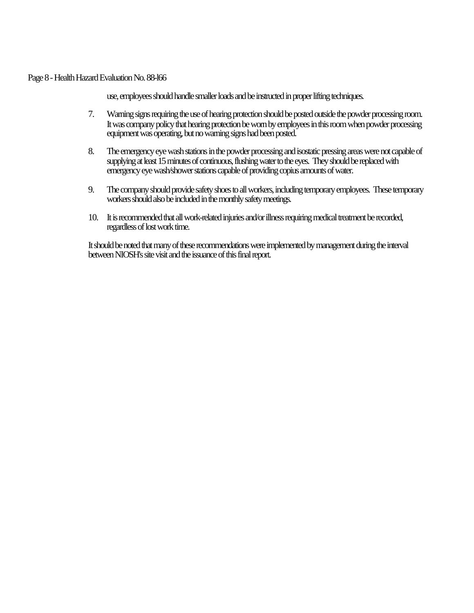Page 8 - Health Hazard Evaluation No. 88-l66

use, employees should handle smaller loads and be instructed in proper lifting techniques.

- 7. Warning signs requiring the use of hearing protection should be posted outside the powder processing room. It was company policy that hearing protection be worn by employees in this room when powder processing equipment was operating, but no warning signs had been posted.
- 8. The emergency eye wash stations in the powder processing and isostatic pressing areas were not capable of supplying at least 15 minutes of continuous, flushing water to the eyes. They should be replaced with emergency eye wash/shower stations capable of providing copius amounts of water.
- 9. The company should provide safety shoes to all workers, including temporary employees. These temporary workers should also be included in the monthly safety meetings.
- 10. It is recommended that all work-related injuries and/or illness requiring medical treatment be recorded, regardless of lost work time.

It should be noted that many of these recommendations were implemented by management during the interval between NIOSH's site visit and the issuance of this final report.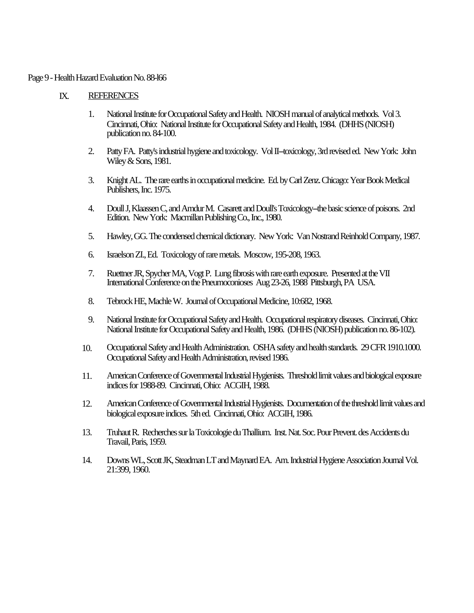#### Page 9 - Health Hazard Evaluation No. 88-l66

## IX. REFERENCES

- 1. National Institute for Occupational Safety and Health. NIOSH manual of analytical methods. Vol 3. Cincinnati, Ohio: National Institute for Occupational Safety and Health, 1984. (DHHS (NIOSH) publication no. 84-100.
- 2. Patty FA. Patty's industrial hygiene and toxicology. Vol II--toxicology, 3rd revised ed. New York: John Wiley & Sons, 1981.
- 3. Knight AL. The rare earths in occupational medicine. Ed. by Carl Zenz. Chicago: Year Book Medical Publishers, Inc. 1975.
- 4. Doull J, Klaassen C, and Amdur M. Casarett and Doull's Toxicology--the basic science of poisons. 2nd Edition. New York: Macmillan Publishing Co., Inc., 1980.
- 5. Hawley, GG. The condensed chemical dictionary. New York: Van Nostrand Reinhold Company, 1987.
- 6. Israelson ZI., Ed. Toxicology of rare metals. Moscow, 195-208, 1963.
- 7. Ruettner JR, Spycher MA, Vogt P. Lung fibrosis with rare earth exposure. Presented at the VII International Conference on the Pneumoconioses Aug 23-26, 1988 Pittsburgh, PA USA.
- 8. Tebrock HE, Machle W. Journal of Occupational Medicine, 10:682, 1968.
- 9. National Institute for Occupational Safety and Health. Occupational respiratory diseases. Cincinnati, Ohio: National Institute for Occupational Safety and Health, 1986. (DHHS (NIOSH) publication no. 86-102).
- 10. Occupational Safety and Health Administration. OSHA safety and health standards. 29 CFR 1910.1000. Occupational Safety and Health Administration, revised 1986.
- 11. American Conference of Governmental Industrial Hygienists. Threshold limit values and biological exposure indices for 1988-89. Cincinnati, Ohio: ACGIH, 1988.
- 12. American Conference of Governmental Industrial Hygienists. Documentation of the threshold limit values and biological exposure indices. 5th ed. Cincinnati, Ohio: ACGIH, 1986.
- 13. Truhaut R. Recherches sur la Toxicologie du Thallium. Inst. Nat. Soc. Pour Prevent. des Accidents du Travail, Paris, 1959.
- 14. Downs WL, Scott JK, Steadman LT and Maynard EA. Am. Industrial Hygiene Association Journal Vol. 21:399, 1960.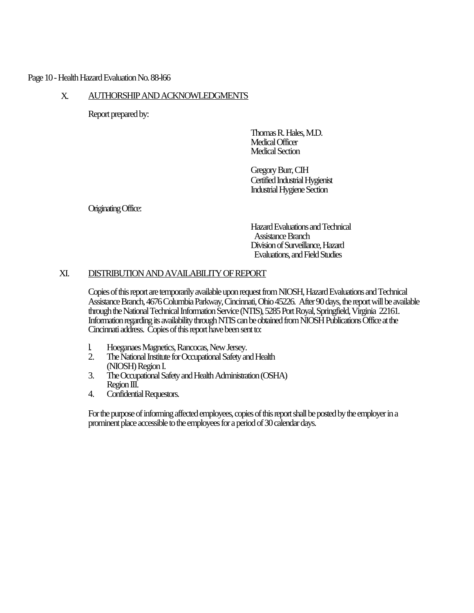# Page 10 - Health Hazard Evaluation No. 88-l66

# X. AUTHORSHIP AND ACKNOWLEDGMENTS

Report prepared by:

Thomas R. Hales, M.D. Medical Officer Medical Section

Gregory Burr, CIH Certified Industrial Hygienist Industrial Hygiene Section

Originating Office:

Hazard Evaluations and Technical Assistance Branch Division of Surveillance, Hazard Evaluations, and Field Studies

# XI. DISTRIBUTION AND AVAILABILITY OF REPORT

Copies of this report are temporarily available upon request from NIOSH, Hazard Evaluations and Technical Assistance Branch, 4676 Columbia Parkway, Cincinnati, Ohio 45226. After 90 days, the report will be available through the National Technical Information Service (NTIS), 5285 Port Royal, Springfield, Virginia 22161. Information regarding its availability through NTIS can be obtained from NIOSH Publications Office at the Cincinnati address. Copies of this report have been sent to:

- l. Hoeganaes Magnetics, Rancocas, New Jersey.
- The National Institute for Occupational Safety and Health (NIOSH) Region I.
- 3. The Occupational Safety and Health Administration (OSHA) Region III.
- 4. Confidential Requestors.

For the purpose of informing affected employees, copies of this report shall be posted by the employer in a prominent place accessible to the employees for a period of 30 calendar days.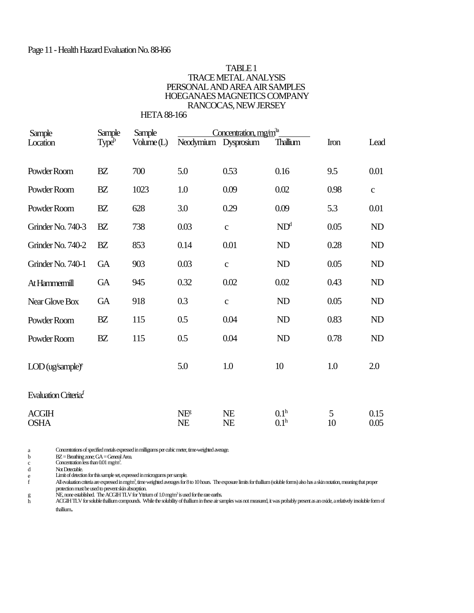#### Page 11 - Health Hazard Evaluation No. 88-l66

### TABLE 1 TRACE METAL ANALYSIS PERSONAL AND AREA AIR SAMPLES HOEGANAES MAGNETICS COMPANY RANCOCAS, NEW JERSEY

 HETA 88-166 Sample Sample Sample Concentration, mg/m<sup>3a</sup> Sample Sample Sample <u>Concentration, mg/m<sup>31</sup></u><br>Location Type<sup>b</sup> Volume (L) Neodymium Dysprosium Thallium Iron Lead Powder Room BZ 700 5.0 0.53 0.16 9.5 0.01 Powder Room BZ 1023 1.0 0.09 0.02 0.98 c Powder Room BZ 628 3.0 0.29 0.09 5.3 0.01 Grinder No. 740-3 BZ 738 0.03 c  $ND^d$  0.05 ND Grinder No. 740-2 BZ 853 0.14 0.01 ND 0.28 ND Grinder No. 740-1 GA 903 0.03 c ND 0.05 ND At Hammermill GA 945 0.32 0.02 0.02 0.43 ND Near Glove Box GA 918 0.3 c ND 0.05 ND Powder Room BZ 115 0.5 0.04 ND 0.83 ND Powder Room BZ 115 0.5 0.04 ND 0.78 ND  $\text{LOD}(\text{ug/sample})^e$  5.0 1.0 10 1.0 2.0 Evaluation Criteria<sup>f</sup>  $\text{ACGIH}$  NE NE  $0.1^{\text{h}}$  $\frac{5}{10}$  0.15  $\text{OSHA}$  NE NE  $0.1^{\text{h}}$  10 0.05

a Concentrations of specified metals expressed in milligrams per cubic meter, time-weighted average.

b BZ = Breathing zone; GA = General Area.<br>c Concentration less than 0.01 mg/m<sup>3</sup>.

d Not Detectable.

e Limit of detection for this sample set, expressed in micrograms per sample. f All evaluation criteria are expressed in mg/m<sup>3</sup>, time weighted averages for 8 to 10 hours. The exposure limits for thallium (soluble forms) also has a skin notation, meaning that proper protection must be used to prevent skin absorption.

NE, none established. The ACGIH TLV for Yttnium of 1.0 mg/m<sup>3</sup> is used for the rare earths.<br>ACGIH TLV for soluble thallium compounds. While the solubility of thallium in these air samples was not measured, it was probably thallium.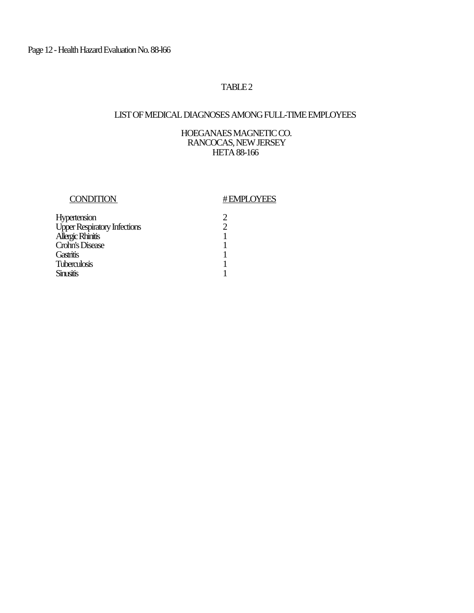# TABLE<sub>2</sub>

# LIST OF MEDICAL DIAGNOSES AMONG FULL-TIME EMPLOYEES

# HOEGANAES MAGNETIC CO. RANCOCAS, NEW JERSEY HETA 88-166

# CONDITION #EMPLOYEES

| Hypertension                        | 2 |
|-------------------------------------|---|
| <b>Upper Respiratory Infections</b> | 2 |
| Allergic Rhinitis                   | 1 |
| Crohn's Disease                     |   |
| Gastritis                           |   |
| <b>Tuberculosis</b>                 |   |
| <b>Sinusitis</b>                    |   |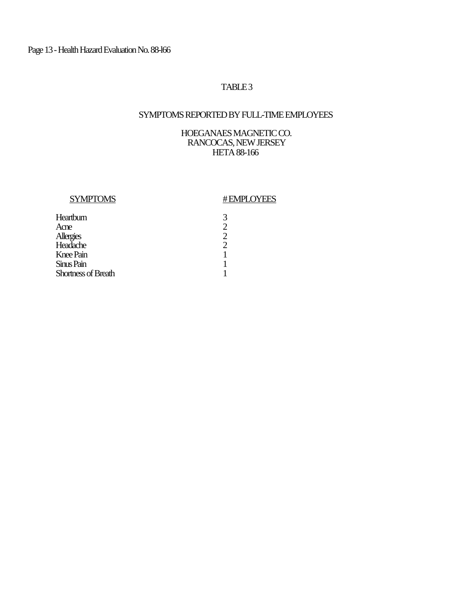# TABLE<sub>3</sub>

# SYMPTOMS REPORTED BY FULL-TIME EMPLOYEES

# HOEGANAES MAGNETIC CO. RANCOCAS, NEW JERSEY HETA 88-166

# SYMPTOMS #EMPLOYEES

| 3 |
|---|
| 2 |
| 2 |
| 2 |
| 1 |
|   |
|   |
|   |